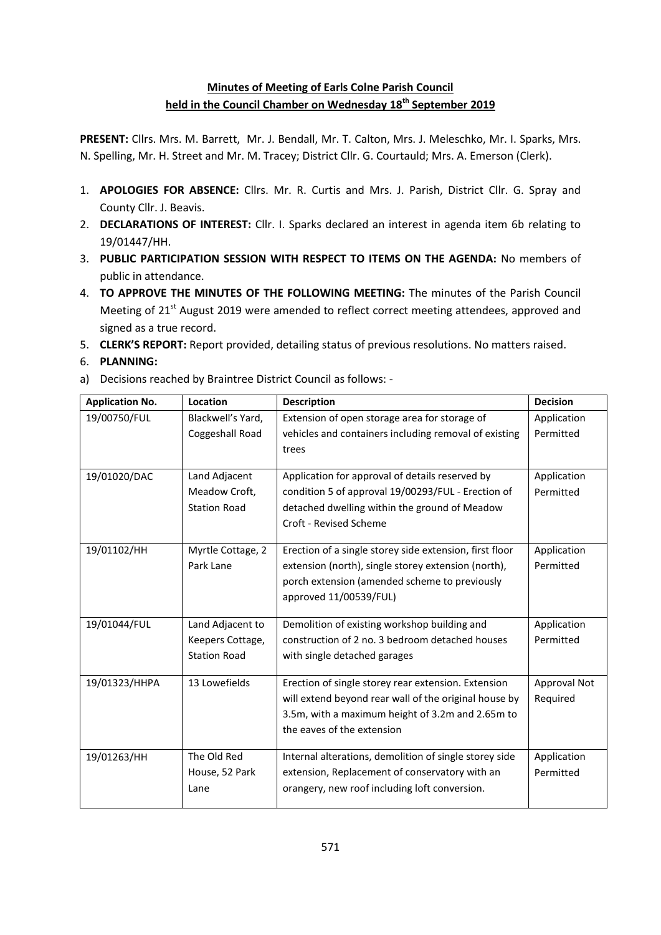# **Minutes of Meeting of Earls Colne Parish Council held in the Council Chamber on Wednesday 18th September 2019**

**PRESENT:** Cllrs. Mrs. M. Barrett, Mr. J. Bendall, Mr. T. Calton, Mrs. J. Meleschko, Mr. I. Sparks, Mrs. N. Spelling, Mr. H. Street and Mr. M. Tracey; District Cllr. G. Courtauld; Mrs. A. Emerson (Clerk).

- 1. **APOLOGIES FOR ABSENCE:** Cllrs. Mr. R. Curtis and Mrs. J. Parish, District Cllr. G. Spray and County Cllr. J. Beavis.
- 2. **DECLARATIONS OF INTEREST:** Cllr. I. Sparks declared an interest in agenda item 6b relating to 19/01447/HH.
- 3. **PUBLIC PARTICIPATION SESSION WITH RESPECT TO ITEMS ON THE AGENDA:** No members of public in attendance.
- 4. **TO APPROVE THE MINUTES OF THE FOLLOWING MEETING:** The minutes of the Parish Council Meeting of 21<sup>st</sup> August 2019 were amended to reflect correct meeting attendees, approved and signed as a true record.
- 5. **CLERK'S REPORT:** Report provided, detailing status of previous resolutions. No matters raised.
- 6. **PLANNING:**
- a) Decisions reached by Braintree District Council as follows: -

| <b>Application No.</b> | Location            | <b>Description</b>                                      | <b>Decision</b> |
|------------------------|---------------------|---------------------------------------------------------|-----------------|
| 19/00750/FUL           | Blackwell's Yard,   | Extension of open storage area for storage of           | Application     |
|                        | Coggeshall Road     | vehicles and containers including removal of existing   | Permitted       |
|                        |                     | trees                                                   |                 |
| 19/01020/DAC           | Land Adjacent       | Application for approval of details reserved by         | Application     |
|                        | Meadow Croft,       | condition 5 of approval 19/00293/FUL - Erection of      | Permitted       |
|                        | <b>Station Road</b> | detached dwelling within the ground of Meadow           |                 |
|                        |                     | Croft - Revised Scheme                                  |                 |
|                        |                     |                                                         |                 |
| 19/01102/HH            | Myrtle Cottage, 2   | Erection of a single storey side extension, first floor | Application     |
|                        | Park Lane           | extension (north), single storey extension (north),     | Permitted       |
|                        |                     | porch extension (amended scheme to previously           |                 |
|                        |                     | approved 11/00539/FUL)                                  |                 |
| 19/01044/FUL           | Land Adjacent to    | Demolition of existing workshop building and            | Application     |
|                        | Keepers Cottage,    | construction of 2 no. 3 bedroom detached houses         | Permitted       |
|                        | <b>Station Road</b> | with single detached garages                            |                 |
|                        |                     |                                                         |                 |
| 19/01323/HHPA          | 13 Lowefields       | Erection of single storey rear extension. Extension     | Approval Not    |
|                        |                     | will extend beyond rear wall of the original house by   | Required        |
|                        |                     | 3.5m, with a maximum height of 3.2m and 2.65m to        |                 |
|                        |                     | the eaves of the extension                              |                 |
| 19/01263/HH            | The Old Red         | Internal alterations, demolition of single storey side  | Application     |
|                        | House, 52 Park      | extension, Replacement of conservatory with an          | Permitted       |
|                        | Lane                | orangery, new roof including loft conversion.           |                 |
|                        |                     |                                                         |                 |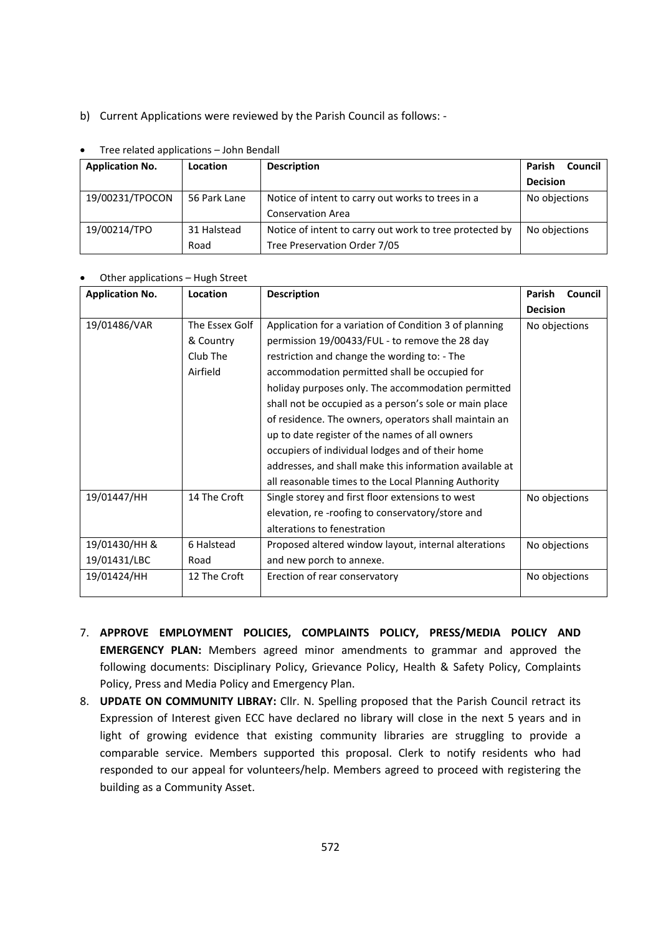b) Current Applications were reviewed by the Parish Council as follows: -

| <b>Application No.</b> | Location     | <b>Description</b>                                      | Council<br>Parish |  |  |  |
|------------------------|--------------|---------------------------------------------------------|-------------------|--|--|--|
|                        |              |                                                         | <b>Decision</b>   |  |  |  |
| 19/00231/TPOCON        | 56 Park Lane | Notice of intent to carry out works to trees in a       | No objections     |  |  |  |
|                        |              | <b>Conservation Area</b>                                |                   |  |  |  |
| 19/00214/TPO           | 31 Halstead  | Notice of intent to carry out work to tree protected by | No objections     |  |  |  |
|                        | Road         | Tree Preservation Order 7/05                            |                   |  |  |  |

### Tree related applications – John Bendall

### Other applications – Hugh Street

| <b>Application No.</b> | Location       | <b>Description</b>                                      | Parish          | Council |
|------------------------|----------------|---------------------------------------------------------|-----------------|---------|
|                        |                |                                                         | <b>Decision</b> |         |
| 19/01486/VAR           | The Essex Golf | Application for a variation of Condition 3 of planning  | No objections   |         |
|                        | & Country      | permission 19/00433/FUL - to remove the 28 day          |                 |         |
|                        | Club The       | restriction and change the wording to: - The            |                 |         |
|                        | Airfield       | accommodation permitted shall be occupied for           |                 |         |
|                        |                | holiday purposes only. The accommodation permitted      |                 |         |
|                        |                | shall not be occupied as a person's sole or main place  |                 |         |
|                        |                | of residence. The owners, operators shall maintain an   |                 |         |
|                        |                | up to date register of the names of all owners          |                 |         |
|                        |                | occupiers of individual lodges and of their home        |                 |         |
|                        |                | addresses, and shall make this information available at |                 |         |
|                        |                | all reasonable times to the Local Planning Authority    |                 |         |
| 19/01447/HH            | 14 The Croft   | Single storey and first floor extensions to west        | No objections   |         |
|                        |                | elevation, re-roofing to conservatory/store and         |                 |         |
|                        |                | alterations to fenestration                             |                 |         |
| 19/01430/HH &          | 6 Halstead     | Proposed altered window layout, internal alterations    | No objections   |         |
| 19/01431/LBC           | Road           | and new porch to annexe.                                |                 |         |
| 19/01424/HH            | 12 The Croft   | Erection of rear conservatory                           | No objections   |         |

- 7. **APPROVE EMPLOYMENT POLICIES, COMPLAINTS POLICY, PRESS/MEDIA POLICY AND EMERGENCY PLAN:** Members agreed minor amendments to grammar and approved the following documents: Disciplinary Policy, Grievance Policy, Health & Safety Policy, Complaints Policy, Press and Media Policy and Emergency Plan.
- 8. **UPDATE ON COMMUNITY LIBRAY:** Cllr. N. Spelling proposed that the Parish Council retract its Expression of Interest given ECC have declared no library will close in the next 5 years and in light of growing evidence that existing community libraries are struggling to provide a comparable service. Members supported this proposal. Clerk to notify residents who had responded to our appeal for volunteers/help. Members agreed to proceed with registering the building as a Community Asset.